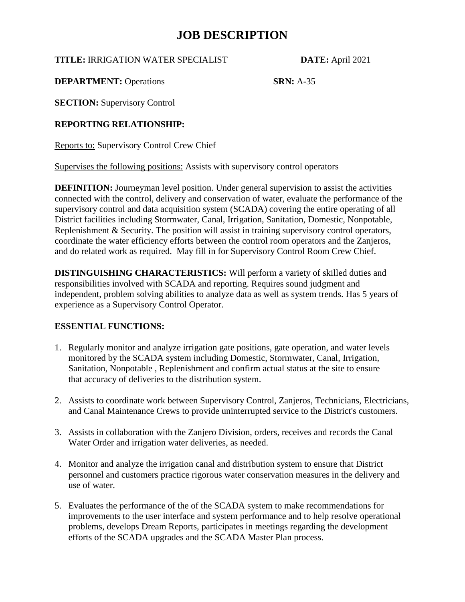**TITLE:** IRRIGATION WATER SPECIALIST **DATE:** April 2021

**DEPARTMENT:** Operations **SRN:** A-35

**SECTION:** Supervisory Control

**REPORTING RELATIONSHIP:**

Reports to: Supervisory Control Crew Chief

Supervises the following positions: Assists with supervisory control operators

**DEFINITION:** Journeyman level position. Under general supervision to assist the activities connected with the control, delivery and conservation of water, evaluate the performance of the supervisory control and data acquisition system (SCADA) covering the entire operating of all District facilities including Stormwater, Canal, Irrigation, Sanitation, Domestic, Nonpotable, Replenishment & Security. The position will assist in training supervisory control operators, coordinate the water efficiency efforts between the control room operators and the Zanjeros, and do related work as required. May fill in for Supervisory Control Room Crew Chief.

**DISTINGUISHING CHARACTERISTICS:** Will perform a variety of skilled duties and responsibilities involved with SCADA and reporting. Requires sound judgment and independent, problem solving abilities to analyze data as well as system trends. Has 5 years of experience as a Supervisory Control Operator.

### **ESSENTIAL FUNCTIONS:**

- 1. Regularly monitor and analyze irrigation gate positions, gate operation, and water levels monitored by the SCADA system including Domestic, Stormwater, Canal, Irrigation, Sanitation, Nonpotable , Replenishment and confirm actual status at the site to ensure that accuracy of deliveries to the distribution system.
- 2. Assists to coordinate work between Supervisory Control, Zanjeros, Technicians, Electricians, and Canal Maintenance Crews to provide uninterrupted service to the District's customers.
- 3. Assists in collaboration with the Zanjero Division, orders, receives and records the Canal Water Order and irrigation water deliveries, as needed.
- 4. Monitor and analyze the irrigation canal and distribution system to ensure that District personnel and customers practice rigorous water conservation measures in the delivery and use of water.
- 5. Evaluates the performance of the of the SCADA system to make recommendations for improvements to the user interface and system performance and to help resolve operational problems, develops Dream Reports, participates in meetings regarding the development efforts of the SCADA upgrades and the SCADA Master Plan process.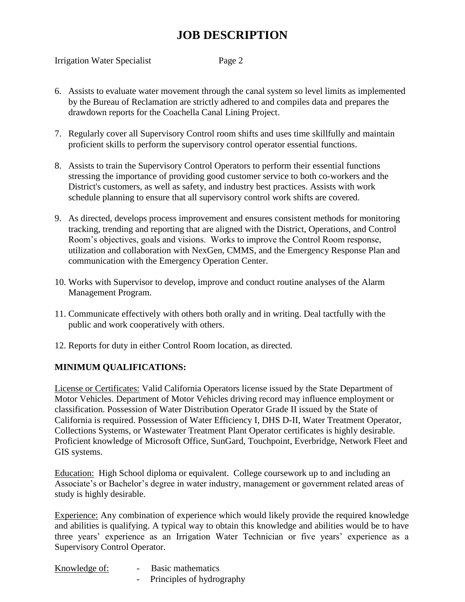Irrigation Water Specialist Page 2

- 6. Assists to evaluate water movement through the canal system so level limits as implemented by the Bureau of Reclamation are strictly adhered to and compiles data and prepares the drawdown reports for the Coachella Canal Lining Project.
- 7. Regularly cover all Supervisory Control room shifts and uses time skillfully and maintain proficient skills to perform the supervisory control operator essential functions.
- 8. Assists to train the Supervisory Control Operators to perform their essential functions stressing the importance of providing good customer service to both co-workers and the District's customers, as well as safety, and industry best practices. Assists with work schedule planning to ensure that all supervisory control work shifts are covered.
- 9. As directed, develops process improvement and ensures consistent methods for monitoring tracking, trending and reporting that are aligned with the District, Operations, and Control Room's objectives, goals and visions. Works to improve the Control Room response, utilization and collaboration with NexGen, CMMS, and the Emergency Response Plan and communication with the Emergency Operation Center.
- 10. Works with Supervisor to develop, improve and conduct routine analyses of the Alarm Management Program.
- 11. Communicate effectively with others both orally and in writing. Deal tactfully with the public and work cooperatively with others.
- 12. Reports for duty in either Control Room location, as directed.

### **MINIMUM QUALIFICATIONS:**

License or Certificates: Valid California Operators license issued by the State Department of Motor Vehicles. Department of Motor Vehicles driving record may influence employment or classification. Possession of Water Distribution Operator Grade II issued by the State of California is required. Possession of Water Efficiency I, DHS D-II, Water Treatment Operator, Collections Systems, or Wastewater Treatment Plant Operator certificates is highly desirable. Proficient knowledge of Microsoft Office, SunGard, Touchpoint, Everbridge, Network Fleet and GIS systems.

Education: High School diploma or equivalent. College coursework up to and including an Associate's or Bachelor's degree in water industry, management or government related areas of study is highly desirable.

Experience: Any combination of experience which would likely provide the required knowledge and abilities is qualifying. A typical way to obtain this knowledge and abilities would be to have three years' experience as an Irrigation Water Technician or five years' experience as a Supervisory Control Operator.

| Knowledge of:<br>Basic mathematics |  |
|------------------------------------|--|
|------------------------------------|--|

- Principles of hydrography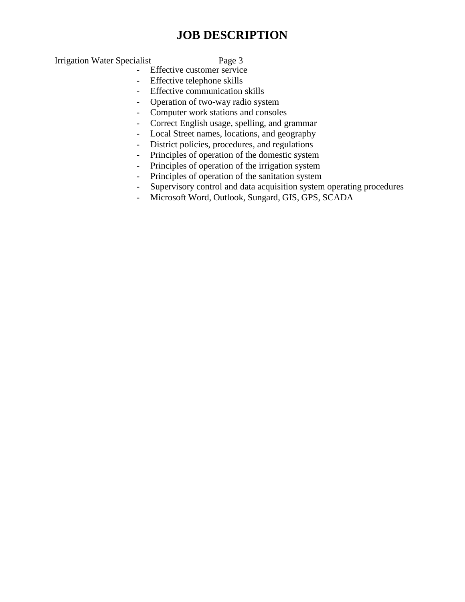Irrigation Water Specialist Page 3

- Effective customer service
- Effective telephone skills
- Effective communication skills
- Operation of two-way radio system
- Computer work stations and consoles
- Correct English usage, spelling, and grammar
- Local Street names, locations, and geography
- District policies, procedures, and regulations
- Principles of operation of the domestic system
- Principles of operation of the irrigation system
- Principles of operation of the sanitation system
- Supervisory control and data acquisition system operating procedures
- Microsoft Word, Outlook, Sungard, GIS, GPS, SCADA